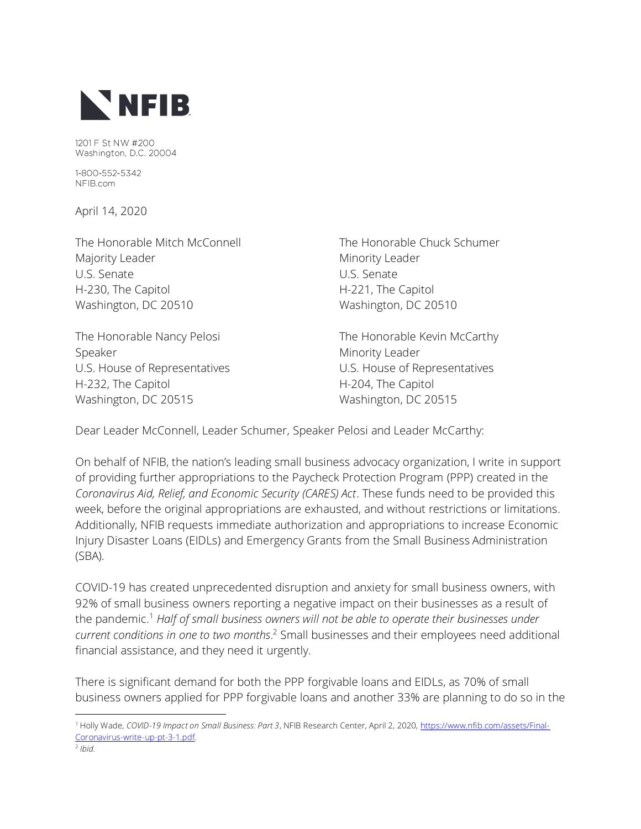

1201 F St NW #200 Washington, D.C. 20004

1-800-552-5342 NFIB.com

April 14, 2020

The Honorable Mitch McConnell The Honorable Chuck Schumer Majority Leader **Minority Leader** Minority Leader U.S. Senate U.S. Senate H-230, The Capitol **H-221**, The Capitol Washington, DC 20510 Washington, DC 20510

Speaker Minority Leader U.S. House of Representatives U.S. House of Representatives H-232, The Capitol **H-204**, The Capitol Washington, DC 20515 Washington, DC 20515

The Honorable Nancy Pelosi **The Honorable Kevin McCarthy** 

Dear Leader McConnell, Leader Schumer, Speaker Pelosi and Leader McCarthy:

On behalf of NFIB, the nation's leading small business advocacy organization, I write in support of providing further appropriations to the Paycheck Protection Program (PPP) created in the *Coronavirus Aid, Relief, and Economic Security (CARES) Act*. These funds need to be provided this week, before the original appropriations are exhausted, and without restrictions or limitations. Additionally, NFIB requests immediate authorization and appropriations to increase Economic Injury Disaster Loans (EIDLs) and Emergency Grants from the Small Business Administration (SBA).

COVID-19 has created unprecedented disruption and anxiety for small business owners, with 92% of small business owners reporting a negative impact on their businesses as a result of the pandemic. <sup>1</sup> *Half of small business owners will not be able to operate their businesses under current conditions in one to two months*. <sup>2</sup> Small businesses and their employees need additional financial assistance, and they need it urgently.

There is significant demand for both the PPP forgivable loans and EIDLs, as 70% of small business owners applied for PPP forgivable loans and another 33% are planning to do so in the

<sup>1</sup> Holly Wade, *COVID-19 Impact on Small Business: Part 3*, NFIB Research Center, April 2, 2020, [https://www.nfib.com/assets/Final-](https://www.nfib.com/assets/Final-Coronavirus-write-up-pt-3-1.pdf)[Coronavirus-write-up-pt-3-1.pdf.](https://www.nfib.com/assets/Final-Coronavirus-write-up-pt-3-1.pdf)

<sup>2</sup> *Ibid.*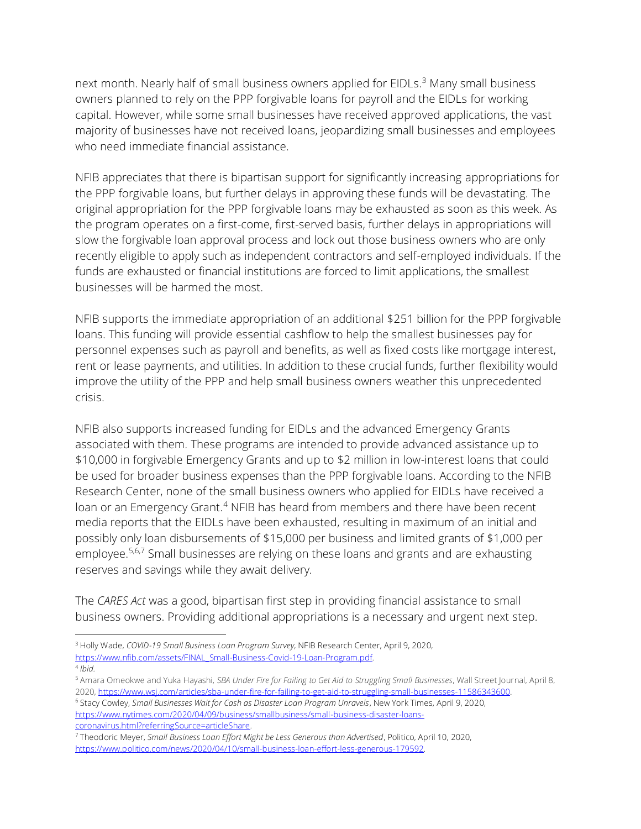next month. Nearly half of small business owners applied for EIDLs.<sup>3</sup> Many small business owners planned to rely on the PPP forgivable loans for payroll and the EIDLs for working capital. However, while some small businesses have received approved applications, the vast majority of businesses have not received loans, jeopardizing small businesses and employees who need immediate financial assistance.

NFIB appreciates that there is bipartisan support for significantly increasing appropriations for the PPP forgivable loans, but further delays in approving these funds will be devastating. The original appropriation for the PPP forgivable loans may be exhausted as soon as this week. As the program operates on a first-come, first-served basis, further delays in appropriations will slow the forgivable loan approval process and lock out those business owners who are only recently eligible to apply such as independent contractors and self-employed individuals. If the funds are exhausted or financial institutions are forced to limit applications, the smallest businesses will be harmed the most.

NFIB supports the immediate appropriation of an additional \$251 billion for the PPP forgivable loans. This funding will provide essential cashflow to help the smallest businesses pay for personnel expenses such as payroll and benefits, as well as fixed costs like mortgage interest, rent or lease payments, and utilities. In addition to these crucial funds, further flexibility would improve the utility of the PPP and help small business owners weather this unprecedented crisis.

NFIB also supports increased funding for EIDLs and the advanced Emergency Grants associated with them. These programs are intended to provide advanced assistance up to \$10,000 in forgivable Emergency Grants and up to \$2 million in low-interest loans that could be used for broader business expenses than the PPP forgivable loans. According to the NFIB Research Center, none of the small business owners who applied for EIDLs have received a loan or an Emergency Grant.<sup>4</sup> NFIB has heard from members and there have been recent media reports that the EIDLs have been exhausted, resulting in maximum of an initial and possibly only loan disbursements of \$15,000 per business and limited grants of \$1,000 per employee.<sup>5,6,7</sup> Small businesses are relying on these loans and grants and are exhausting reserves and savings while they await delivery.

The *CARES Act* was a good, bipartisan first step in providing financial assistance to small business owners. Providing additional appropriations is a necessary and urgent next step.

<sup>3</sup> Holly Wade, *COVID-19 Small Business Loan Program Survey*, NFIB Research Center, April 9, 2020, [https://www.nfib.com/assets/FINAL\\_Small-Business-Covid-19-Loan-Program.pdf.](https://www.nfib.com/assets/FINAL_Small-Business-Covid-19-Loan-Program.pdf)

<sup>4</sup> *Ibid.*

<sup>5</sup> Amara Omeokwe and Yuka Hayashi, *SBA Under Fire for Failing to Get Aid to Struggling Small Businesses*, Wall Street Journal, April 8, 2020, [https://www.wsj.com/articles/sba-under-fire-for-failing-to-get-aid-to-struggling-small-businesses-11586343600.](https://www.wsj.com/articles/sba-under-fire-for-failing-to-get-aid-to-struggling-small-businesses-11586343600)

<sup>6</sup> Stacy Cowley, *Small Businesses Wait for Cash as Disaster Loan Program Unravels*, New York Times, April 9, 2020, [https://www.nytimes.com/2020/04/09/business/smallbusiness/small-business-disaster-loans](https://www.nytimes.com/2020/04/09/business/smallbusiness/small-business-disaster-loans-coronavirus.html?referringSource=articleShare)[coronavirus.html?referringSource=articleShare.](https://www.nytimes.com/2020/04/09/business/smallbusiness/small-business-disaster-loans-coronavirus.html?referringSource=articleShare)

<sup>7</sup> Theodoric Meyer, *Small Business Loan Effort Might be Less Generous than Advertised*, Politico, April 10, 2020, [https://www.politico.com/news/2020/04/10/small-business-loan-effort-less-generous-179592.](https://www.politico.com/news/2020/04/10/small-business-loan-effort-less-generous-179592)